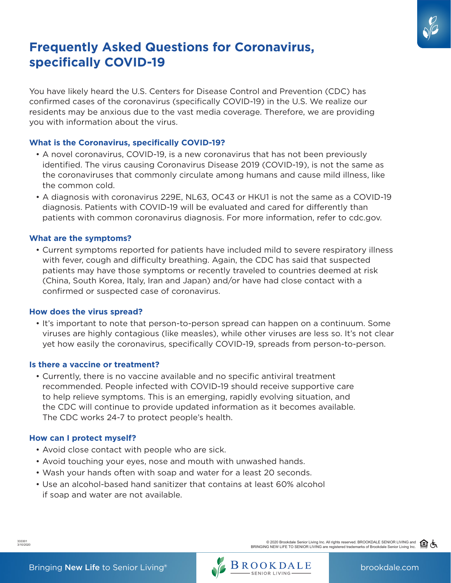

# **Frequently Asked Questions for Coronavirus, specifically COVID-19**

You have likely heard the U.S. Centers for Disease Control and Prevention (CDC) has confirmed cases of the coronavirus (specifically COVID-19) in the U.S. We realize our residents may be anxious due to the vast media coverage. Therefore, we are providing you with information about the virus.

## **What is the Coronavirus, specifically COVID-19?**

- A novel coronavirus, COVID-19, is a new coronavirus that has not been previously identified. The virus causing Coronavirus Disease 2019 (COVID-19), is not the same as the coronaviruses that commonly circulate among humans and cause mild illness, like the common cold.
- A diagnosis with coronavirus 229E, NL63, OC43 or HKU1 is not the same as a COVID-19 diagnosis. Patients with COVID-19 will be evaluated and cared for differently than patients with common coronavirus diagnosis. For more information, refer to cdc.gov.

#### **What are the symptoms?**

• Current symptoms reported for patients have included mild to severe respiratory illness with fever, cough and difficulty breathing. Again, the CDC has said that suspected patients may have those symptoms or recently traveled to countries deemed at risk (China, South Korea, Italy, Iran and Japan) and/or have had close contact with a confirmed or suspected case of coronavirus.

#### **How does the virus spread?**

• It's important to note that person-to-person spread can happen on a continuum. Some viruses are highly contagious (like measles), while other viruses are less so. It's not clear yet how easily the coronavirus, specifically COVID-19, spreads from person-to-person.

#### **Is there a vaccine or treatment?**

• Currently, there is no vaccine available and no specific antiviral treatment recommended. People infected with COVID-19 should receive supportive care to help relieve symptoms. This is an emerging, rapidly evolving situation, and the CDC will continue to provide updated information as it becomes available. The CDC works 24-7 to protect people's health.

#### **How can I protect myself?**

- Avoid close contact with people who are sick.
- Avoid touching your eyes, nose and mouth with unwashed hands.
- Wash your hands often with soap and water for a least 20 seconds.
- Use an alcohol-based hand sanitizer that contains at least 60% alcohol if soap and water are not available.



333301 3/10/2020